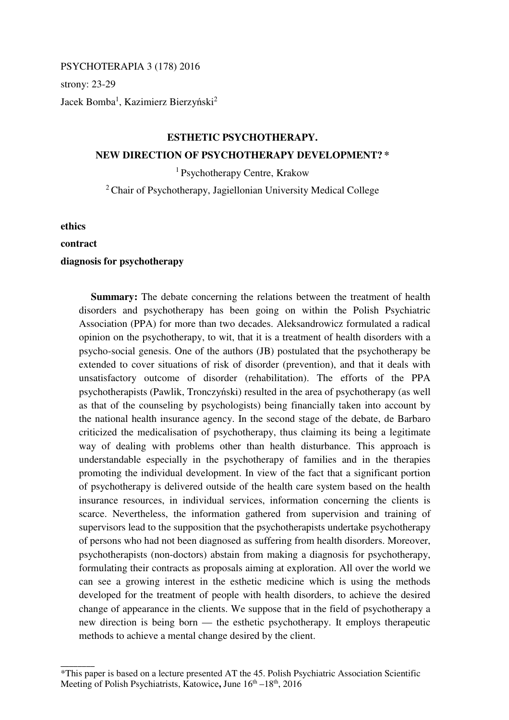PSYCHOTERAPIA 3 (178) 2016

strony: 23-29

Jacek Bomba<sup>1</sup>, Kazimierz Bierzyński<sup>2</sup>

## **ESTHETIC PSYCHOTHERAPY. NEW DIRECTION OF PSYCHOTHERAPY DEVELOPMENT? \***

<sup>1</sup>Psychotherapy Centre, Krakow

<sup>2</sup>Chair of Psychotherapy, Jagiellonian University Medical College

**ethics** 

## **contract**

\_\_\_\_\_\_\_\_

## **diagnosis for psychotherapy**

**Summary:** The debate concerning the relations between the treatment of health disorders and psychotherapy has been going on within the Polish Psychiatric Association (PPA) for more than two decades. Aleksandrowicz formulated a radical opinion on the psychotherapy, to wit, that it is a treatment of health disorders with a psycho-social genesis. One of the authors (JB) postulated that the psychotherapy be extended to cover situations of risk of disorder (prevention), and that it deals with unsatisfactory outcome of disorder (rehabilitation). The efforts of the PPA psychotherapists (Pawlik, Tronczyński) resulted in the area of psychotherapy (as well as that of the counseling by psychologists) being financially taken into account by the national health insurance agency. In the second stage of the debate, de Barbaro criticized the medicalisation of psychotherapy, thus claiming its being a legitimate way of dealing with problems other than health disturbance. This approach is understandable especially in the psychotherapy of families and in the therapies promoting the individual development. In view of the fact that a significant portion of psychotherapy is delivered outside of the health care system based on the health insurance resources, in individual services, information concerning the clients is scarce. Nevertheless, the information gathered from supervision and training of supervisors lead to the supposition that the psychotherapists undertake psychotherapy of persons who had not been diagnosed as suffering from health disorders. Moreover, psychotherapists (non-doctors) abstain from making a diagnosis for psychotherapy, formulating their contracts as proposals aiming at exploration. All over the world we can see a growing interest in the esthetic medicine which is using the methods developed for the treatment of people with health disorders, to achieve the desired change of appearance in the clients. We suppose that in the field of psychotherapy a new direction is being born — the esthetic psychotherapy. It employs therapeutic methods to achieve a mental change desired by the client.

<sup>\*</sup>This paper is based on a lecture presented AT the 45. Polish Psychiatric Association Scientific Meeting of Polish Psychiatrists, Katowice, June  $16<sup>th</sup> - 18<sup>th</sup>$ , 2016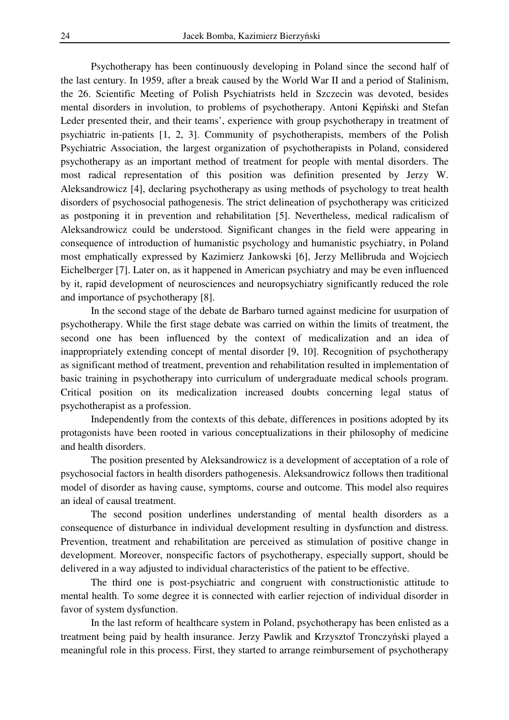Psychotherapy has been continuously developing in Poland since the second half of the last century. In 1959, after a break caused by the World War II and a period of Stalinism, the 26. Scientific Meeting of Polish Psychiatrists held in Szczecin was devoted, besides mental disorders in involution, to problems of psychotherapy. Antoni Kępiński and Stefan Leder presented their, and their teams', experience with group psychotherapy in treatment of psychiatric in-patients [1, 2, 3]. Community of psychotherapists, members of the Polish Psychiatric Association, the largest organization of psychotherapists in Poland, considered psychotherapy as an important method of treatment for people with mental disorders. The most radical representation of this position was definition presented by Jerzy W. Aleksandrowicz [4], declaring psychotherapy as using methods of psychology to treat health disorders of psychosocial pathogenesis. The strict delineation of psychotherapy was criticized as postponing it in prevention and rehabilitation [5]. Nevertheless, medical radicalism of Aleksandrowicz could be understood. Significant changes in the field were appearing in consequence of introduction of humanistic psychology and humanistic psychiatry, in Poland most emphatically expressed by Kazimierz Jankowski [6], Jerzy Mellibruda and Wojciech Eichelberger [7]. Later on, as it happened in American psychiatry and may be even influenced by it, rapid development of neurosciences and neuropsychiatry significantly reduced the role and importance of psychotherapy [8].

 In the second stage of the debate de Barbaro turned against medicine for usurpation of psychotherapy. While the first stage debate was carried on within the limits of treatment, the second one has been influenced by the context of medicalization and an idea of inappropriately extending concept of mental disorder [9, 10]. Recognition of psychotherapy as significant method of treatment, prevention and rehabilitation resulted in implementation of basic training in psychotherapy into curriculum of undergraduate medical schools program. Critical position on its medicalization increased doubts concerning legal status of psychotherapist as a profession.

 Independently from the contexts of this debate, differences in positions adopted by its protagonists have been rooted in various conceptualizations in their philosophy of medicine and health disorders.

 The position presented by Aleksandrowicz is a development of acceptation of a role of psychosocial factors in health disorders pathogenesis. Aleksandrowicz follows then traditional model of disorder as having cause, symptoms, course and outcome. This model also requires an ideal of causal treatment.

 The second position underlines understanding of mental health disorders as a consequence of disturbance in individual development resulting in dysfunction and distress. Prevention, treatment and rehabilitation are perceived as stimulation of positive change in development. Moreover, nonspecific factors of psychotherapy, especially support, should be delivered in a way adjusted to individual characteristics of the patient to be effective.

 The third one is post-psychiatric and congruent with constructionistic attitude to mental health. To some degree it is connected with earlier rejection of individual disorder in favor of system dysfunction.

 In the last reform of healthcare system in Poland, psychotherapy has been enlisted as a treatment being paid by health insurance. Jerzy Pawlik and Krzysztof Tronczyński played a meaningful role in this process. First, they started to arrange reimbursement of psychotherapy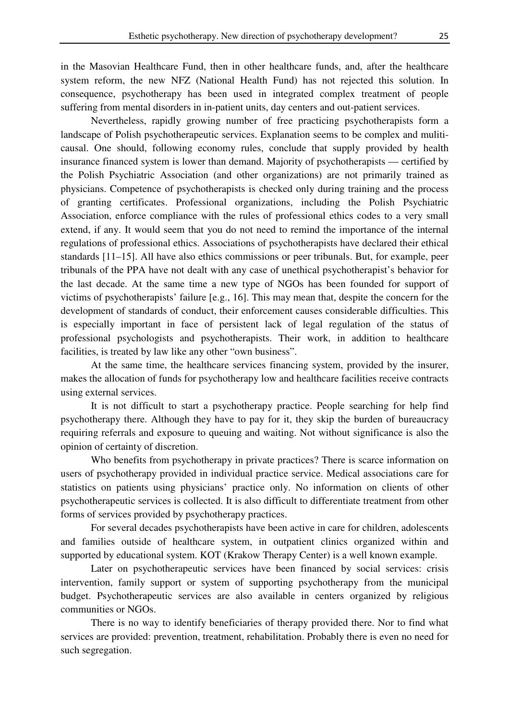in the Masovian Healthcare Fund, then in other healthcare funds, and, after the healthcare system reform, the new NFZ (National Health Fund) has not rejected this solution. In consequence, psychotherapy has been used in integrated complex treatment of people suffering from mental disorders in in-patient units, day centers and out-patient services.

 Nevertheless, rapidly growing number of free practicing psychotherapists form a landscape of Polish psychotherapeutic services. Explanation seems to be complex and muliticausal. One should, following economy rules, conclude that supply provided by health insurance financed system is lower than demand. Majority of psychotherapists — certified by the Polish Psychiatric Association (and other organizations) are not primarily trained as physicians. Competence of psychotherapists is checked only during training and the process of granting certificates. Professional organizations, including the Polish Psychiatric Association, enforce compliance with the rules of professional ethics codes to a very small extend, if any. It would seem that you do not need to remind the importance of the internal regulations of professional ethics. Associations of psychotherapists have declared their ethical standards [11–15]. All have also ethics commissions or peer tribunals. But, for example, peer tribunals of the PPA have not dealt with any case of unethical psychotherapist's behavior for the last decade. At the same time a new type of NGOs has been founded for support of victims of psychotherapists' failure [e.g., 16]. This may mean that, despite the concern for the development of standards of conduct, their enforcement causes considerable difficulties. This is especially important in face of persistent lack of legal regulation of the status of professional psychologists and psychotherapists. Their work, in addition to healthcare facilities, is treated by law like any other "own business".

 At the same time, the healthcare services financing system, provided by the insurer, makes the allocation of funds for psychotherapy low and healthcare facilities receive contracts using external services.

 It is not difficult to start a psychotherapy practice. People searching for help find psychotherapy there. Although they have to pay for it, they skip the burden of bureaucracy requiring referrals and exposure to queuing and waiting. Not without significance is also the opinion of certainty of discretion.

 Who benefits from psychotherapy in private practices? There is scarce information on users of psychotherapy provided in individual practice service. Medical associations care for statistics on patients using physicians' practice only. No information on clients of other psychotherapeutic services is collected. It is also difficult to differentiate treatment from other forms of services provided by psychotherapy practices.

 For several decades psychotherapists have been active in care for children, adolescents and families outside of healthcare system, in outpatient clinics organized within and supported by educational system. KOT (Krakow Therapy Center) is a well known example.

 Later on psychotherapeutic services have been financed by social services: crisis intervention, family support or system of supporting psychotherapy from the municipal budget. Psychotherapeutic services are also available in centers organized by religious communities or NGOs.

 There is no way to identify beneficiaries of therapy provided there. Nor to find what services are provided: prevention, treatment, rehabilitation. Probably there is even no need for such segregation.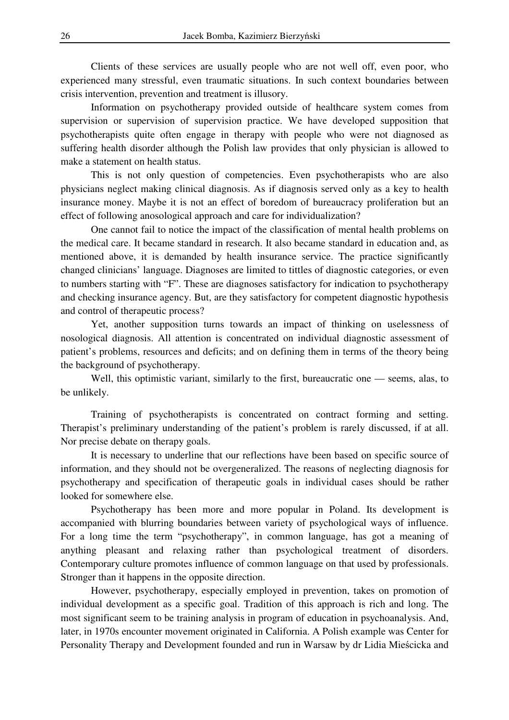Clients of these services are usually people who are not well off, even poor, who experienced many stressful, even traumatic situations. In such context boundaries between crisis intervention, prevention and treatment is illusory.

 Information on psychotherapy provided outside of healthcare system comes from supervision or supervision of supervision practice. We have developed supposition that psychotherapists quite often engage in therapy with people who were not diagnosed as suffering health disorder although the Polish law provides that only physician is allowed to make a statement on health status.

 This is not only question of competencies. Even psychotherapists who are also physicians neglect making clinical diagnosis. As if diagnosis served only as a key to health insurance money. Maybe it is not an effect of boredom of bureaucracy proliferation but an effect of following anosological approach and care for individualization?

 One cannot fail to notice the impact of the classification of mental health problems on the medical care. It became standard in research. It also became standard in education and, as mentioned above, it is demanded by health insurance service. The practice significantly changed clinicians' language. Diagnoses are limited to tittles of diagnostic categories, or even to numbers starting with "F". These are diagnoses satisfactory for indication to psychotherapy and checking insurance agency. But, are they satisfactory for competent diagnostic hypothesis and control of therapeutic process?

 Yet, another supposition turns towards an impact of thinking on uselessness of nosological diagnosis. All attention is concentrated on individual diagnostic assessment of patient's problems, resources and deficits; and on defining them in terms of the theory being the background of psychotherapy.

 Well, this optimistic variant, similarly to the first, bureaucratic one — seems, alas, to be unlikely.

 Training of psychotherapists is concentrated on contract forming and setting. Therapist's preliminary understanding of the patient's problem is rarely discussed, if at all. Nor precise debate on therapy goals.

 It is necessary to underline that our reflections have been based on specific source of information, and they should not be overgeneralized. The reasons of neglecting diagnosis for psychotherapy and specification of therapeutic goals in individual cases should be rather looked for somewhere else.

 Psychotherapy has been more and more popular in Poland. Its development is accompanied with blurring boundaries between variety of psychological ways of influence. For a long time the term "psychotherapy", in common language, has got a meaning of anything pleasant and relaxing rather than psychological treatment of disorders. Contemporary culture promotes influence of common language on that used by professionals. Stronger than it happens in the opposite direction.

 However, psychotherapy, especially employed in prevention, takes on promotion of individual development as a specific goal. Tradition of this approach is rich and long. The most significant seem to be training analysis in program of education in psychoanalysis. And, later, in 1970s encounter movement originated in California. A Polish example was Center for Personality Therapy and Development founded and run in Warsaw by dr Lidia Mieścicka and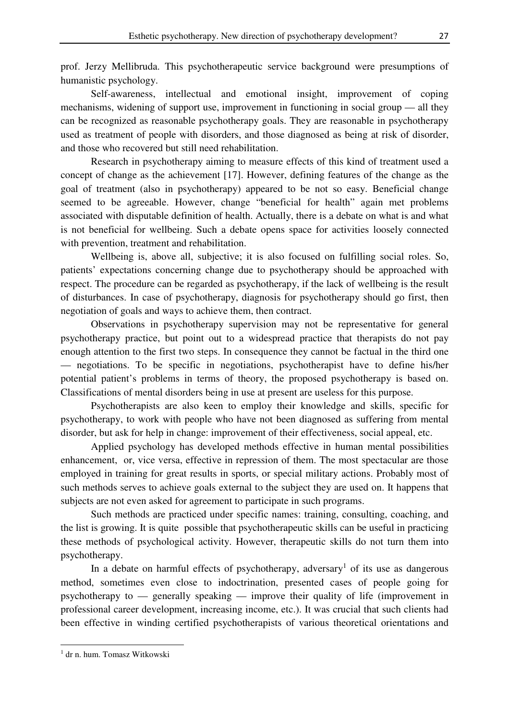prof. Jerzy Mellibruda. This psychotherapeutic service background were presumptions of humanistic psychology.

 Self-awareness, intellectual and emotional insight, improvement of coping mechanisms, widening of support use, improvement in functioning in social group — all they can be recognized as reasonable psychotherapy goals. They are reasonable in psychotherapy used as treatment of people with disorders, and those diagnosed as being at risk of disorder, and those who recovered but still need rehabilitation.

 Research in psychotherapy aiming to measure effects of this kind of treatment used a concept of change as the achievement [17]. However, defining features of the change as the goal of treatment (also in psychotherapy) appeared to be not so easy. Beneficial change seemed to be agreeable. However, change "beneficial for health" again met problems associated with disputable definition of health. Actually, there is a debate on what is and what is not beneficial for wellbeing. Such a debate opens space for activities loosely connected with prevention, treatment and rehabilitation.

 Wellbeing is, above all, subjective; it is also focused on fulfilling social roles. So, patients' expectations concerning change due to psychotherapy should be approached with respect. The procedure can be regarded as psychotherapy, if the lack of wellbeing is the result of disturbances. In case of psychotherapy, diagnosis for psychotherapy should go first, then negotiation of goals and ways to achieve them, then contract.

 Observations in psychotherapy supervision may not be representative for general psychotherapy practice, but point out to a widespread practice that therapists do not pay enough attention to the first two steps. In consequence they cannot be factual in the third one — negotiations. To be specific in negotiations, psychotherapist have to define his/her potential patient's problems in terms of theory, the proposed psychotherapy is based on. Classifications of mental disorders being in use at present are useless for this purpose.

 Psychotherapists are also keen to employ their knowledge and skills, specific for psychotherapy, to work with people who have not been diagnosed as suffering from mental disorder, but ask for help in change: improvement of their effectiveness, social appeal, etc.

 Applied psychology has developed methods effective in human mental possibilities enhancement, or, vice versa, effective in repression of them. The most spectacular are those employed in training for great results in sports, or special military actions. Probably most of such methods serves to achieve goals external to the subject they are used on. It happens that subjects are not even asked for agreement to participate in such programs.

 Such methods are practiced under specific names: training, consulting, coaching, and the list is growing. It is quite possible that psychotherapeutic skills can be useful in practicing these methods of psychological activity. However, therapeutic skills do not turn them into psychotherapy.

In a debate on harmful effects of psychotherapy, adversary<sup>1</sup> of its use as dangerous method, sometimes even close to indoctrination, presented cases of people going for psychotherapy to — generally speaking — improve their quality of life (improvement in professional career development, increasing income, etc.). It was crucial that such clients had been effective in winding certified psychotherapists of various theoretical orientations and

 $\overline{a}$ 

<sup>1</sup> dr n. hum. Tomasz Witkowski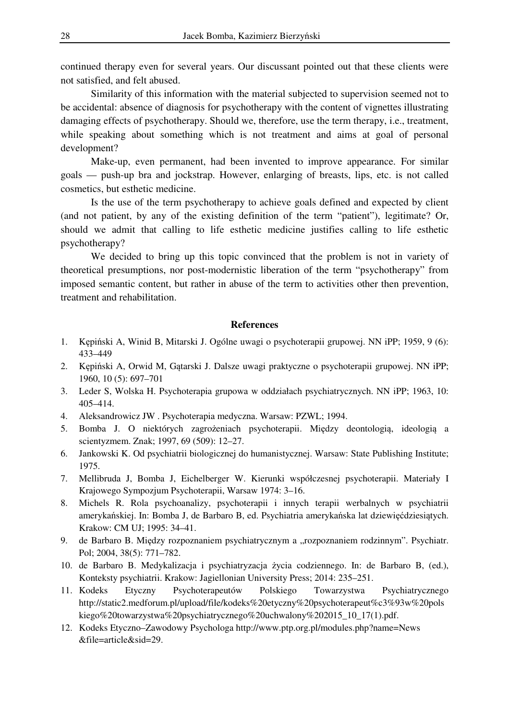continued therapy even for several years. Our discussant pointed out that these clients were not satisfied, and felt abused.

 Similarity of this information with the material subjected to supervision seemed not to be accidental: absence of diagnosis for psychotherapy with the content of vignettes illustrating damaging effects of psychotherapy. Should we, therefore, use the term therapy, i.e., treatment, while speaking about something which is not treatment and aims at goal of personal development?

 Make-up, even permanent, had been invented to improve appearance. For similar goals — push-up bra and jockstrap. However, enlarging of breasts, lips, etc. is not called cosmetics, but esthetic medicine.

 Is the use of the term psychotherapy to achieve goals defined and expected by client (and not patient, by any of the existing definition of the term "patient"), legitimate? Or, should we admit that calling to life esthetic medicine justifies calling to life esthetic psychotherapy?

 We decided to bring up this topic convinced that the problem is not in variety of theoretical presumptions, nor post-modernistic liberation of the term "psychotherapy" from imposed semantic content, but rather in abuse of the term to activities other then prevention, treatment and rehabilitation.

## **References**

- 1. Kępiński A, Winid B, Mitarski J. Ogólne uwagi o psychoterapii grupowej. NN iPP; 1959, 9 (6): 433–449
- 2. Kępiński A, Orwid M, Gątarski J. Dalsze uwagi praktyczne o psychoterapii grupowej. NN iPP; 1960, 10 (5): 697–701
- 3. Leder S, Wolska H. Psychoterapia grupowa w oddziałach psychiatrycznych. NN iPP; 1963, 10: 405–414.
- 4. Aleksandrowicz JW . Psychoterapia medyczna. Warsaw: PZWL; 1994.
- 5. Bomba J. O niektórych zagrożeniach psychoterapii. Między deontologią, ideologią a scientyzmem. Znak; 1997, 69 (509): 12–27.
- 6. Jankowski K. Od psychiatrii biologicznej do humanistycznej. Warsaw: State Publishing Institute; 1975.
- 7. Mellibruda J, Bomba J, Eichelberger W. Kierunki współczesnej psychoterapii. Materiały I Krajowego Sympozjum Psychoterapii, Warsaw 1974: 3–16.
- 8. Michels R. Rola psychoanalizy, psychoterapii i innych terapii werbalnych w psychiatrii amerykańskiej. In: Bomba J, de Barbaro B, ed. Psychiatria amerykańska lat dziewięćdziesiątych. Krakow: CM UJ; 1995: 34–41.
- 9. de Barbaro B. Między rozpoznaniem psychiatrycznym a "rozpoznaniem rodzinnym". Psychiatr. Pol; 2004, 38(5): 771–782.
- 10. de Barbaro B. Medykalizacja i psychiatryzacja życia codziennego. In: de Barbaro B, (ed.), Konteksty psychiatrii. Krakow: Jagiellonian University Press; 2014: 235–251.
- 11. Kodeks Etyczny Psychoterapeutów Polskiego Towarzystwa Psychiatrycznego http://static2.medforum.pl/upload/file/kodeks%20etyczny%20psychoterapeut%c3%93w%20pols kiego%20towarzystwa%20psychiatrycznego%20uchwalony%202015\_10\_17(1).pdf.
- 12. Kodeks Etyczno–Zawodowy Psychologa http://www.ptp.org.pl/modules.php?name=News &file=article&sid=29.